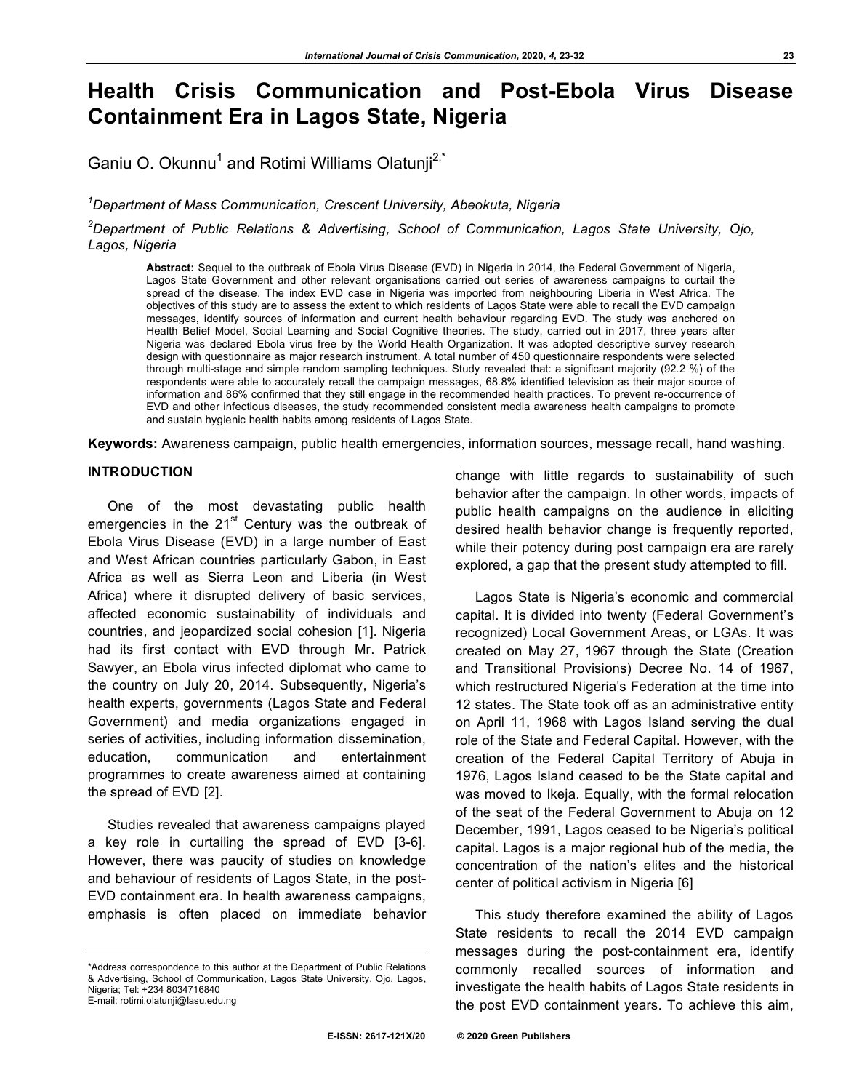# **Health Crisis Communication and Post-Ebola Virus Disease Containment Era in Lagos State, Nigeria**

Ganiu O. Okunnu<sup>1</sup> and Rotimi Williams Olatunji<sup>2,\*</sup>

*1 Department of Mass Communication, Crescent University, Abeokuta, Nigeria*

*2 Department of Public Relations & Advertising, School of Communication, Lagos State University, Ojo, Lagos, Nigeria*

**Abstract:** Sequel to the outbreak of Ebola Virus Disease (EVD) in Nigeria in 2014, the Federal Government of Nigeria, Lagos State Government and other relevant organisations carried out series of awareness campaigns to curtail the spread of the disease. The index EVD case in Nigeria was imported from neighbouring Liberia in West Africa. The objectives of this study are to assess the extent to which residents of Lagos State were able to recall the EVD campaign messages, identify sources of information and current health behaviour regarding EVD. The study was anchored on Health Belief Model, Social Learning and Social Cognitive theories. The study, carried out in 2017, three years after Nigeria was declared Ebola virus free by the World Health Organization. It was adopted descriptive survey research design with questionnaire as major research instrument. A total number of 450 questionnaire respondents were selected through multi-stage and simple random sampling techniques. Study revealed that: a significant majority (92.2 %) of the respondents were able to accurately recall the campaign messages, 68.8% identified television as their major source of information and 86% confirmed that they still engage in the recommended health practices. To prevent re-occurrence of EVD and other infectious diseases, the study recommended consistent media awareness health campaigns to promote and sustain hygienic health habits among residents of Lagos State.

**Keywords:** Awareness campaign, public health emergencies, information sources, message recall, hand washing.

#### **INTRODUCTION**

One of the most devastating public health emergencies in the  $21<sup>st</sup>$  Century was the outbreak of Ebola Virus Disease (EVD) in a large number of East and West African countries particularly Gabon, in East Africa as well as Sierra Leon and Liberia (in West Africa) where it disrupted delivery of basic services, affected economic sustainability of individuals and countries, and jeopardized social cohesion [1]. Nigeria had its first contact with EVD through Mr. Patrick Sawyer, an Ebola virus infected diplomat who came to the country on July 20, 2014. Subsequently, Nigeria's health experts, governments (Lagos State and Federal Government) and media organizations engaged in series of activities, including information dissemination, education, communication and entertainment programmes to create awareness aimed at containing the spread of EVD [2].

Studies revealed that awareness campaigns played a key role in curtailing the spread of EVD [3-6]. However, there was paucity of studies on knowledge and behaviour of residents of Lagos State, in the post-EVD containment era. In health awareness campaigns, emphasis is often placed on immediate behavior

change with little regards to sustainability of such behavior after the campaign. In other words, impacts of public health campaigns on the audience in eliciting desired health behavior change is frequently reported, while their potency during post campaign era are rarely explored, a gap that the present study attempted to fill.

Lagos State is Nigeria's economic and commercial capital. It is divided into twenty (Federal Government's recognized) Local Government Areas, or LGAs. It was created on May 27, 1967 through the State (Creation and Transitional Provisions) Decree No. 14 of 1967, which restructured Nigeria's Federation at the time into 12 states. The State took off as an administrative entity on April 11, 1968 with Lagos Island serving the dual role of the State and Federal Capital. However, with the creation of the Federal Capital Territory of Abuja in 1976, Lagos Island ceased to be the State capital and was moved to Ikeja. Equally, with the formal relocation of the seat of the Federal Government to Abuja on 12 December, 1991, Lagos ceased to be Nigeria's political capital. Lagos is a major regional hub of the media, the concentration of the nation's elites and the historical center of political activism in Nigeria [6]

This study therefore examined the ability of Lagos State residents to recall the 2014 EVD campaign messages during the post-containment era, identify commonly recalled sources of information and investigate the health habits of Lagos State residents in the post EVD containment years. To achieve this aim,

<sup>\*</sup>Address correspondence to this author at the Department of Public Relations & Advertising, School of Communication, Lagos State University, Ojo, Lagos, Nigeria; Tel: +234 8034716840

E-mail: rotimi.olatunji@lasu.edu.ng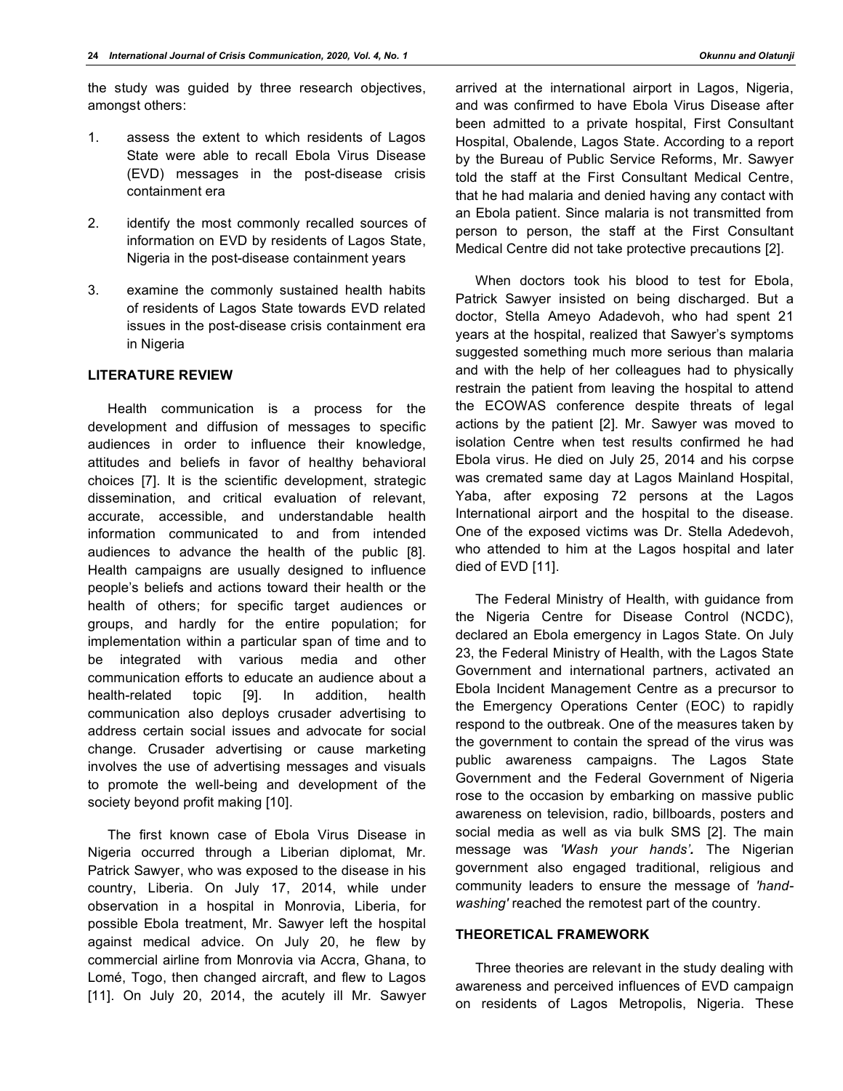the study was guided by three research objectives, amongst others:

- 1. assess the extent to which residents of Lagos State were able to recall Ebola Virus Disease (EVD) messages in the post-disease crisis containment era
- 2. identify the most commonly recalled sources of information on EVD by residents of Lagos State, Nigeria in the post-disease containment years
- 3. examine the commonly sustained health habits of residents of Lagos State towards EVD related issues in the post-disease crisis containment era in Nigeria

#### **LITERATURE REVIEW**

Health communication is a process for the development and diffusion of messages to specific audiences in order to influence their knowledge, attitudes and beliefs in favor of healthy behavioral choices [7]. It is the scientific development, strategic dissemination, and critical evaluation of relevant, accurate, accessible, and understandable health information communicated to and from intended audiences to advance the health of the public [8]. Health campaigns are usually designed to influence people's beliefs and actions toward their health or the health of others; for specific target audiences or groups, and hardly for the entire population; for implementation within a particular span of time and to be integrated with various media and other communication efforts to educate an audience about a health-related topic [9]. In addition, health communication also deploys crusader advertising to address certain social issues and advocate for social change. Crusader advertising or cause marketing involves the use of advertising messages and visuals to promote the well-being and development of the society beyond profit making [10].

The first known case of Ebola Virus Disease in Nigeria occurred through a Liberian diplomat, Mr. Patrick Sawyer, who was exposed to the disease in his country, Liberia. On July 17, 2014, while under observation in a hospital in Monrovia, Liberia, for possible Ebola treatment, Mr. Sawyer left the hospital against medical advice. On July 20, he flew by commercial airline from Monrovia via Accra, Ghana, to Lomé, Togo, then changed aircraft, and flew to Lagos [11]. On July 20, 2014, the acutely ill Mr. Sawyer

arrived at the international airport in Lagos, Nigeria, and was confirmed to have Ebola Virus Disease after been admitted to a private hospital, First Consultant Hospital, Obalende, Lagos State. According to a report by the Bureau of Public Service Reforms, Mr. Sawyer told the staff at the First Consultant Medical Centre, that he had malaria and denied having any contact with an Ebola patient. Since malaria is not transmitted from person to person, the staff at the First Consultant Medical Centre did not take protective precautions [2].

When doctors took his blood to test for Ebola, Patrick Sawyer insisted on being discharged. But a doctor, Stella Ameyo Adadevoh, who had spent 21 years at the hospital, realized that Sawyer's symptoms suggested something much more serious than malaria and with the help of her colleagues had to physically restrain the patient from leaving the hospital to attend the ECOWAS conference despite threats of legal actions by the patient [2]. Mr. Sawyer was moved to isolation Centre when test results confirmed he had Ebola virus. He died on July 25, 2014 and his corpse was cremated same day at Lagos Mainland Hospital, Yaba, after exposing 72 persons at the Lagos International airport and the hospital to the disease. One of the exposed victims was Dr. Stella Adedevoh, who attended to him at the Lagos hospital and later died of EVD [11].

The Federal Ministry of Health, with guidance from the Nigeria Centre for Disease Control (NCDC), declared an Ebola emergency in Lagos State. On July 23, the Federal Ministry of Health, with the Lagos State Government and international partners, activated an Ebola Incident Management Centre as a precursor to the Emergency Operations Center (EOC) to rapidly respond to the outbreak. One of the measures taken by the government to contain the spread of the virus was public awareness campaigns. The Lagos State Government and the Federal Government of Nigeria rose to the occasion by embarking on massive public awareness on television, radio, billboards, posters and social media as well as via bulk SMS [2]. The main message was *'Wash your hands'.* The Nigerian government also engaged traditional, religious and community leaders to ensure the message of *'handwashing'* reached the remotest part of the country.

# **THEORETICAL FRAMEWORK**

Three theories are relevant in the study dealing with awareness and perceived influences of EVD campaign on residents of Lagos Metropolis, Nigeria. These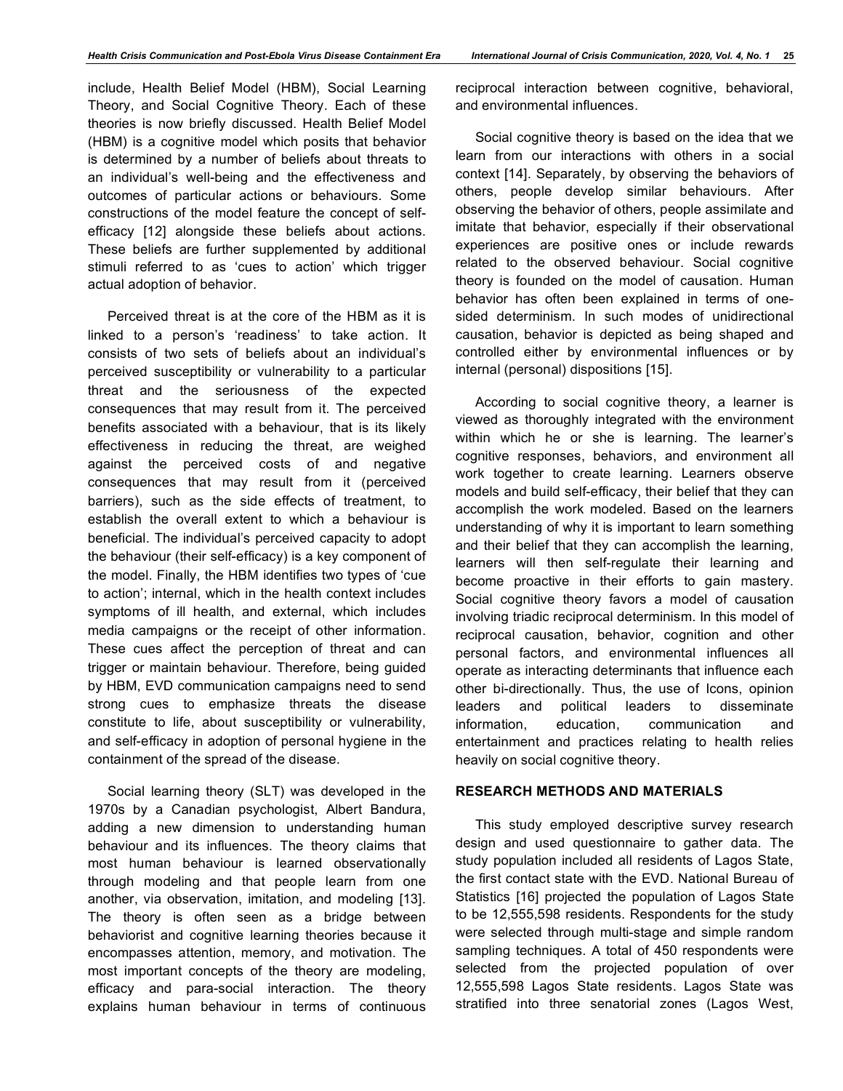include, Health Belief Model (HBM), Social Learning Theory, and Social Cognitive Theory. Each of these theories is now briefly discussed. Health Belief Model (HBM) is a cognitive model which posits that behavior is determined by a number of beliefs about threats to an individual's well-being and the effectiveness and outcomes of particular actions or behaviours. Some constructions of the model feature the concept of selfefficacy [12] alongside these beliefs about actions. These beliefs are further supplemented by additional stimuli referred to as 'cues to action' which trigger actual adoption of behavior.

Perceived threat is at the core of the HBM as it is linked to a person's 'readiness' to take action. It consists of two sets of beliefs about an individual's perceived susceptibility or vulnerability to a particular threat and the seriousness of the expected consequences that may result from it. The perceived benefits associated with a behaviour, that is its likely effectiveness in reducing the threat, are weighed against the perceived costs of and negative consequences that may result from it (perceived barriers), such as the side effects of treatment, to establish the overall extent to which a behaviour is beneficial. The individual's perceived capacity to adopt the behaviour (their self-efficacy) is a key component of the model. Finally, the HBM identifies two types of 'cue to action'; internal, which in the health context includes symptoms of ill health, and external, which includes media campaigns or the receipt of other information. These cues affect the perception of threat and can trigger or maintain behaviour. Therefore, being guided by HBM, EVD communication campaigns need to send strong cues to emphasize threats the disease constitute to life, about susceptibility or vulnerability, and self-efficacy in adoption of personal hygiene in the containment of the spread of the disease.

Social learning theory (SLT) was developed in the 1970s by a Canadian psychologist, Albert Bandura, adding a new dimension to understanding human behaviour and its influences. The theory claims that most human behaviour is learned observationally through modeling and that people learn from one another, via observation, imitation, and modeling [13]. The theory is often seen as a bridge between behaviorist and cognitive learning theories because it encompasses attention, memory, and motivation. The most important concepts of the theory are modeling, efficacy and para-social interaction. The theory explains human behaviour in terms of continuous reciprocal interaction between cognitive, behavioral, and environmental influences.

Social cognitive theory is based on the idea that we learn from our interactions with others in a social context [14]. Separately, by observing the behaviors of others, people develop similar behaviours. After observing the behavior of others, people assimilate and imitate that behavior, especially if their observational experiences are positive ones or include rewards related to the observed behaviour. Social cognitive theory is founded on the model of causation. Human behavior has often been explained in terms of onesided determinism. In such modes of unidirectional causation, behavior is depicted as being shaped and controlled either by environmental influences or by internal (personal) dispositions [15].

According to social cognitive theory, a learner is viewed as thoroughly integrated with the environment within which he or she is learning. The learner's cognitive responses, behaviors, and environment all work together to create learning. Learners observe models and build self-efficacy, their belief that they can accomplish the work modeled. Based on the learners understanding of why it is important to learn something and their belief that they can accomplish the learning, learners will then self-regulate their learning and become proactive in their efforts to gain mastery. Social cognitive theory favors a model of causation involving triadic reciprocal determinism. In this model of reciprocal causation, behavior, cognition and other personal factors, and environmental influences all operate as interacting determinants that influence each other bi-directionally. Thus, the use of Icons, opinion leaders and political leaders to disseminate information, education, communication and entertainment and practices relating to health relies heavily on social cognitive theory.

# **RESEARCH METHODS AND MATERIALS**

This study employed descriptive survey research design and used questionnaire to gather data. The study population included all residents of Lagos State, the first contact state with the EVD. National Bureau of Statistics [16] projected the population of Lagos State to be 12,555,598 residents. Respondents for the study were selected through multi-stage and simple random sampling techniques. A total of 450 respondents were selected from the projected population of over 12,555,598 Lagos State residents. Lagos State was stratified into three senatorial zones (Lagos West,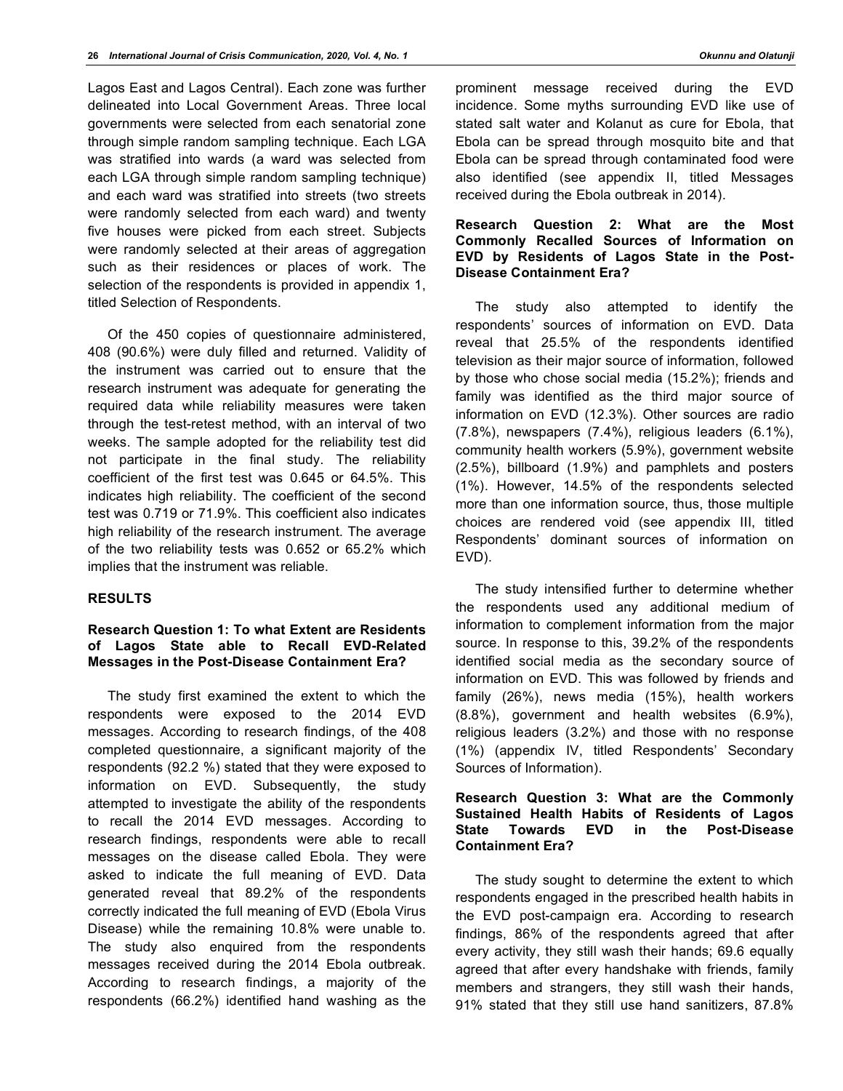Lagos East and Lagos Central). Each zone was further delineated into Local Government Areas. Three local governments were selected from each senatorial zone through simple random sampling technique. Each LGA was stratified into wards (a ward was selected from each LGA through simple random sampling technique) and each ward was stratified into streets (two streets were randomly selected from each ward) and twenty five houses were picked from each street. Subjects were randomly selected at their areas of aggregation such as their residences or places of work. The selection of the respondents is provided in appendix 1, titled Selection of Respondents.

Of the 450 copies of questionnaire administered, 408 (90.6%) were duly filled and returned. Validity of the instrument was carried out to ensure that the research instrument was adequate for generating the required data while reliability measures were taken through the test-retest method, with an interval of two weeks. The sample adopted for the reliability test did not participate in the final study. The reliability coefficient of the first test was 0.645 or 64.5%. This indicates high reliability. The coefficient of the second test was 0.719 or 71.9%. This coefficient also indicates high reliability of the research instrument. The average of the two reliability tests was 0.652 or 65.2% which implies that the instrument was reliable.

# **RESULTS**

# **Research Question 1: To what Extent are Residents of Lagos State able to Recall EVD-Related Messages in the Post-Disease Containment Era?**

The study first examined the extent to which the respondents were exposed to the 2014 EVD messages. According to research findings, of the 408 completed questionnaire, a significant majority of the respondents (92.2 %) stated that they were exposed to information on EVD. Subsequently, the study attempted to investigate the ability of the respondents to recall the 2014 EVD messages. According to research findings, respondents were able to recall messages on the disease called Ebola. They were asked to indicate the full meaning of EVD. Data generated reveal that 89.2% of the respondents correctly indicated the full meaning of EVD (Ebola Virus Disease) while the remaining 10.8% were unable to. The study also enquired from the respondents messages received during the 2014 Ebola outbreak. According to research findings, a majority of the respondents (66.2%) identified hand washing as the

prominent message received during the EVD incidence. Some myths surrounding EVD like use of stated salt water and Kolanut as cure for Ebola, that Ebola can be spread through mosquito bite and that Ebola can be spread through contaminated food were also identified (see appendix II, titled Messages received during the Ebola outbreak in 2014).

#### **Research Question 2: What are the Most Commonly Recalled Sources of Information on EVD by Residents of Lagos State in the Post-Disease Containment Era?**

The study also attempted to identify the respondents' sources of information on EVD. Data reveal that 25.5% of the respondents identified television as their major source of information, followed by those who chose social media (15.2%); friends and family was identified as the third major source of information on EVD (12.3%). Other sources are radio (7.8%), newspapers (7.4%), religious leaders (6.1%), community health workers (5.9%), government website (2.5%), billboard (1.9%) and pamphlets and posters (1%). However, 14.5% of the respondents selected more than one information source, thus, those multiple choices are rendered void (see appendix III, titled Respondents' dominant sources of information on EVD).

The study intensified further to determine whether the respondents used any additional medium of information to complement information from the major source. In response to this, 39.2% of the respondents identified social media as the secondary source of information on EVD. This was followed by friends and family (26%), news media (15%), health workers (8.8%), government and health websites (6.9%), religious leaders (3.2%) and those with no response (1%) (appendix IV, titled Respondents' Secondary Sources of Information).

#### **Research Question 3: What are the Commonly Sustained Health Habits of Residents of Lagos State Towards EVD in the Post-Disease Containment Era?**

The study sought to determine the extent to which respondents engaged in the prescribed health habits in the EVD post-campaign era. According to research findings, 86% of the respondents agreed that after every activity, they still wash their hands; 69.6 equally agreed that after every handshake with friends, family members and strangers, they still wash their hands, 91% stated that they still use hand sanitizers, 87.8%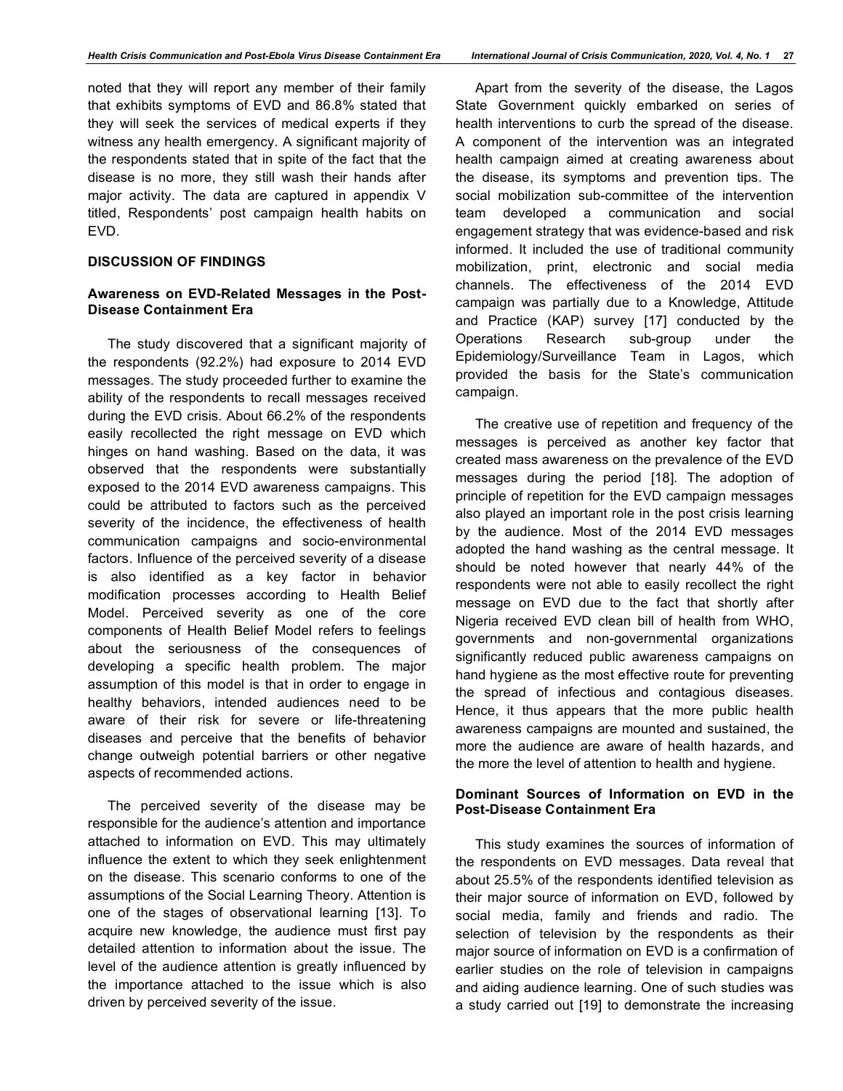noted that they will report any member of their family that exhibits symptoms of EVD and 86.8% stated that they will seek the services of medical experts if they witness any health emergency. A significant majority of the respondents stated that in spite of the fact that the disease is no more, they still wash their hands after major activity. The data are captured in appendix V titled, Respondents' post campaign health habits on EVD.

#### **DISCUSSION OF FINDINGS**

#### **Awareness on EVD-Related Messages in the Post-Disease Containment Era**

The study discovered that a significant majority of the respondents (92.2%) had exposure to 2014 EVD messages. The study proceeded further to examine the ability of the respondents to recall messages received during the EVD crisis. About 66.2% of the respondents easily recollected the right message on EVD which hinges on hand washing. Based on the data, it was observed that the respondents were substantially exposed to the 2014 EVD awareness campaigns. This could be attributed to factors such as the perceived severity of the incidence, the effectiveness of health communication campaigns and socio-environmental factors. Influence of the perceived severity of a disease is also identified as a key factor in behavior modification processes according to Health Belief Model. Perceived severity as one of the core components of Health Belief Model refers to feelings about the seriousness of the consequences of developing a specific health problem. The major assumption of this model is that in order to engage in healthy behaviors, intended audiences need to be aware of their risk for severe or life-threatening diseases and perceive that the benefits of behavior change outweigh potential barriers or other negative aspects of recommended actions.

The perceived severity of the disease may be responsible for the audience's attention and importance attached to information on EVD. This may ultimately influence the extent to which they seek enlightenment on the disease. This scenario conforms to one of the assumptions of the Social Learning Theory. Attention is one of the stages of observational learning [13]. To acquire new knowledge, the audience must first pay detailed attention to information about the issue. The level of the audience attention is greatly influenced by the importance attached to the issue which is also driven by perceived severity of the issue.

Apart from the severity of the disease, the Lagos State Government quickly embarked on series of health interventions to curb the spread of the disease. A component of the intervention was an integrated health campaign aimed at creating awareness about the disease, its symptoms and prevention tips. The social mobilization sub-committee of the intervention team developed a communication and social engagement strategy that was evidence-based and risk informed. It included the use of traditional community mobilization, print, electronic and social media channels. The effectiveness of the 2014 EVD campaign was partially due to a Knowledge, Attitude and Practice (KAP) survey [17] conducted by the Operations Research sub-group under the Epidemiology/Surveillance Team in Lagos, which provided the basis for the State's communication campaign.

The creative use of repetition and frequency of the messages is perceived as another key factor that created mass awareness on the prevalence of the EVD messages during the period [18]. The adoption of principle of repetition for the EVD campaign messages also played an important role in the post crisis learning by the audience. Most of the 2014 EVD messages adopted the hand washing as the central message. It should be noted however that nearly 44% of the respondents were not able to easily recollect the right message on EVD due to the fact that shortly after Nigeria received EVD clean bill of health from WHO, governments and non-governmental organizations significantly reduced public awareness campaigns on hand hygiene as the most effective route for preventing the spread of infectious and contagious diseases. Hence, it thus appears that the more public health awareness campaigns are mounted and sustained, the more the audience are aware of health hazards, and the more the level of attention to health and hygiene.

#### **Dominant Sources of Information on EVD in the Post-Disease Containment Era**

This study examines the sources of information of the respondents on EVD messages. Data reveal that about 25.5% of the respondents identified television as their major source of information on EVD, followed by social media, family and friends and radio. The selection of television by the respondents as their major source of information on EVD is a confirmation of earlier studies on the role of television in campaigns and aiding audience learning. One of such studies was a study carried out [19] to demonstrate the increasing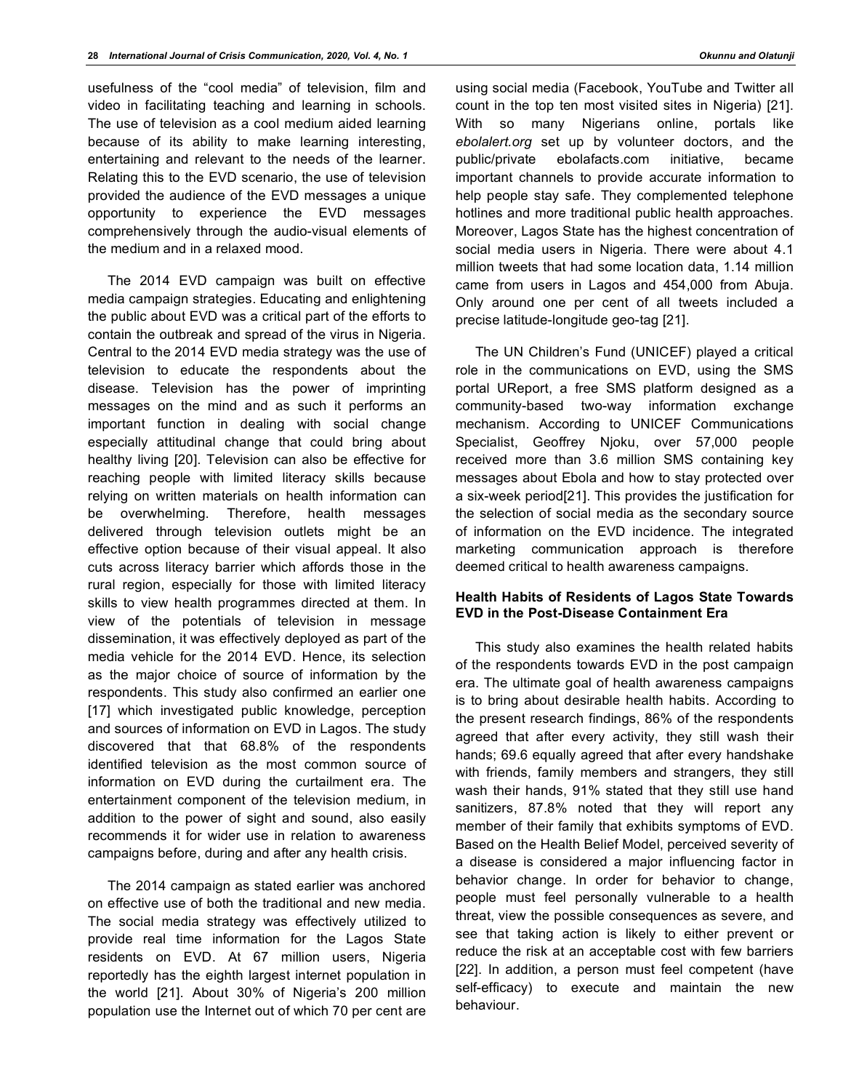usefulness of the "cool media" of television, film and video in facilitating teaching and learning in schools. The use of television as a cool medium aided learning because of its ability to make learning interesting, entertaining and relevant to the needs of the learner. Relating this to the EVD scenario, the use of television provided the audience of the EVD messages a unique opportunity to experience the EVD messages comprehensively through the audio-visual elements of the medium and in a relaxed mood.

The 2014 EVD campaign was built on effective media campaign strategies. Educating and enlightening the public about EVD was a critical part of the efforts to contain the outbreak and spread of the virus in Nigeria. Central to the 2014 EVD media strategy was the use of television to educate the respondents about the disease. Television has the power of imprinting messages on the mind and as such it performs an important function in dealing with social change especially attitudinal change that could bring about healthy living [20]. Television can also be effective for reaching people with limited literacy skills because relying on written materials on health information can be overwhelming. Therefore, health messages delivered through television outlets might be an effective option because of their visual appeal. It also cuts across literacy barrier which affords those in the rural region, especially for those with limited literacy skills to view health programmes directed at them. In view of the potentials of television in message dissemination, it was effectively deployed as part of the media vehicle for the 2014 EVD. Hence, its selection as the major choice of source of information by the respondents. This study also confirmed an earlier one [17] which investigated public knowledge, perception and sources of information on EVD in Lagos. The study discovered that that 68.8% of the respondents identified television as the most common source of information on EVD during the curtailment era. The entertainment component of the television medium, in addition to the power of sight and sound, also easily recommends it for wider use in relation to awareness campaigns before, during and after any health crisis.

The 2014 campaign as stated earlier was anchored on effective use of both the traditional and new media. The social media strategy was effectively utilized to provide real time information for the Lagos State residents on EVD. At 67 million users, Nigeria reportedly has the eighth largest internet population in the world [21]. About 30% of Nigeria's 200 million population use the Internet out of which 70 per cent are

using social media (Facebook, YouTube and Twitter all count in the top ten most visited sites in Nigeria) [21]. With so many Nigerians online, portals like *ebolalert.org* set up by volunteer doctors, and the public/private ebolafacts.com initiative, became important channels to provide accurate information to help people stay safe. They complemented telephone hotlines and more traditional public health approaches. Moreover, Lagos State has the highest concentration of social media users in Nigeria. There were about 4.1 million tweets that had some location data, 1.14 million came from users in Lagos and 454,000 from Abuja. Only around one per cent of all tweets included a precise latitude-longitude geo-tag [21].

The UN Children's Fund (UNICEF) played a critical role in the communications on EVD, using the SMS portal UReport, a free SMS platform designed as a community-based two-way information exchange mechanism. According to UNICEF Communications Specialist, Geoffrey Njoku, over 57,000 people received more than 3.6 million SMS containing key messages about Ebola and how to stay protected over a six-week period[21]. This provides the justification for the selection of social media as the secondary source of information on the EVD incidence. The integrated marketing communication approach is therefore deemed critical to health awareness campaigns.

# **Health Habits of Residents of Lagos State Towards EVD in the Post-Disease Containment Era**

This study also examines the health related habits of the respondents towards EVD in the post campaign era. The ultimate goal of health awareness campaigns is to bring about desirable health habits. According to the present research findings, 86% of the respondents agreed that after every activity, they still wash their hands; 69.6 equally agreed that after every handshake with friends, family members and strangers, they still wash their hands, 91% stated that they still use hand sanitizers, 87.8% noted that they will report any member of their family that exhibits symptoms of EVD. Based on the Health Belief Model, perceived severity of a disease is considered a major influencing factor in behavior change. In order for behavior to change, people must feel personally vulnerable to a health threat, view the possible consequences as severe, and see that taking action is likely to either prevent or reduce the risk at an acceptable cost with few barriers [22]. In addition, a person must feel competent (have self-efficacy) to execute and maintain the new behaviour.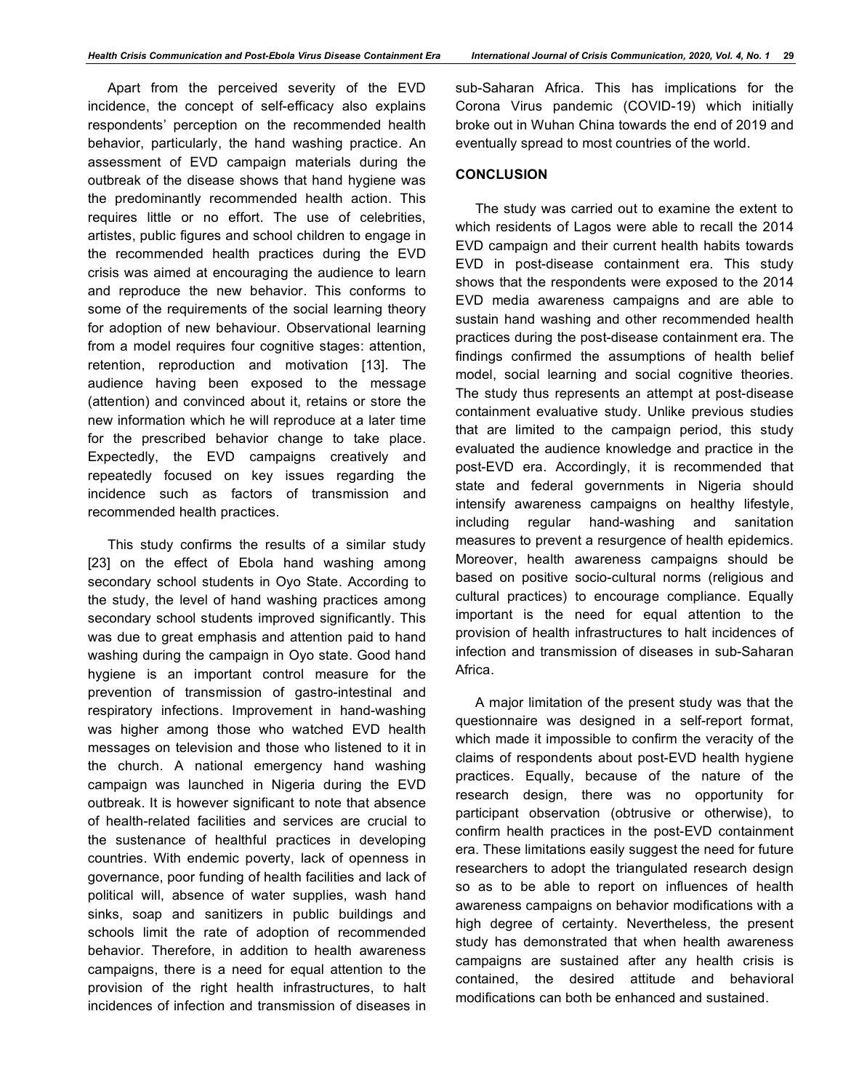Apart from the perceived severity of the EVD incidence, the concept of self-efficacy also explains respondents' perception on the recommended health behavior, particularly, the hand washing practice. An assessment of EVD campaign materials during the outbreak of the disease shows that hand hygiene was the predominantly recommended health action. This requires little or no effort. The use of celebrities, artistes, public figures and school children to engage in the recommended health practices during the EVD crisis was aimed at encouraging the audience to learn and reproduce the new behavior. This conforms to some of the requirements of the social learning theory for adoption of new behaviour. Observational learning from a model requires four cognitive stages: attention, retention, reproduction and motivation [13]. The audience having been exposed to the message (attention) and convinced about it, retains or store the new information which he will reproduce at a later time for the prescribed behavior change to take place. Expectedly, the EVD campaigns creatively and repeatedly focused on key issues regarding the incidence such as factors of transmission and recommended health practices.

This study confirms the results of a similar study [23] on the effect of Ebola hand washing among secondary school students in Oyo State. According to the study, the level of hand washing practices among secondary school students improved significantly. This was due to great emphasis and attention paid to hand washing during the campaign in Oyo state. Good hand hygiene is an important control measure for the prevention of transmission of gastro-intestinal and respiratory infections. Improvement in hand-washing was higher among those who watched EVD health messages on television and those who listened to it in the church. A national emergency hand washing campaign was launched in Nigeria during the EVD outbreak. It is however significant to note that absence of health-related facilities and services are crucial to the sustenance of healthful practices in developing countries. With endemic poverty, lack of openness in governance, poor funding of health facilities and lack of political will, absence of water supplies, wash hand sinks, soap and sanitizers in public buildings and schools limit the rate of adoption of recommended behavior. Therefore, in addition to health awareness campaigns, there is a need for equal attention to the provision of the right health infrastructures, to halt incidences of infection and transmission of diseases in

sub-Saharan Africa. This has implications for the Corona Virus pandemic (COVID-19) which initially broke out in Wuhan China towards the end of 2019 and eventually spread to most countries of the world.

#### **CONCLUSION**

The study was carried out to examine the extent to which residents of Lagos were able to recall the 2014 EVD campaign and their current health habits towards EVD in post-disease containment era. This study shows that the respondents were exposed to the 2014 EVD media awareness campaigns and are able to sustain hand washing and other recommended health practices during the post-disease containment era. The findings confirmed the assumptions of health belief model, social learning and social cognitive theories. The study thus represents an attempt at post-disease containment evaluative study. Unlike previous studies that are limited to the campaign period, this study evaluated the audience knowledge and practice in the post-EVD era. Accordingly, it is recommended that state and federal governments in Nigeria should intensify awareness campaigns on healthy lifestyle, including regular hand-washing and sanitation measures to prevent a resurgence of health epidemics. Moreover, health awareness campaigns should be based on positive socio-cultural norms (religious and cultural practices) to encourage compliance. Equally important is the need for equal attention to the provision of health infrastructures to halt incidences of infection and transmission of diseases in sub-Saharan Africa.

A major limitation of the present study was that the questionnaire was designed in a self-report format, which made it impossible to confirm the veracity of the claims of respondents about post-EVD health hygiene practices. Equally, because of the nature of the research design, there was no opportunity for participant observation (obtrusive or otherwise), to confirm health practices in the post-EVD containment era. These limitations easily suggest the need for future researchers to adopt the triangulated research design so as to be able to report on influences of health awareness campaigns on behavior modifications with a high degree of certainty. Nevertheless, the present study has demonstrated that when health awareness campaigns are sustained after any health crisis is contained, the desired attitude and behavioral modifications can both be enhanced and sustained.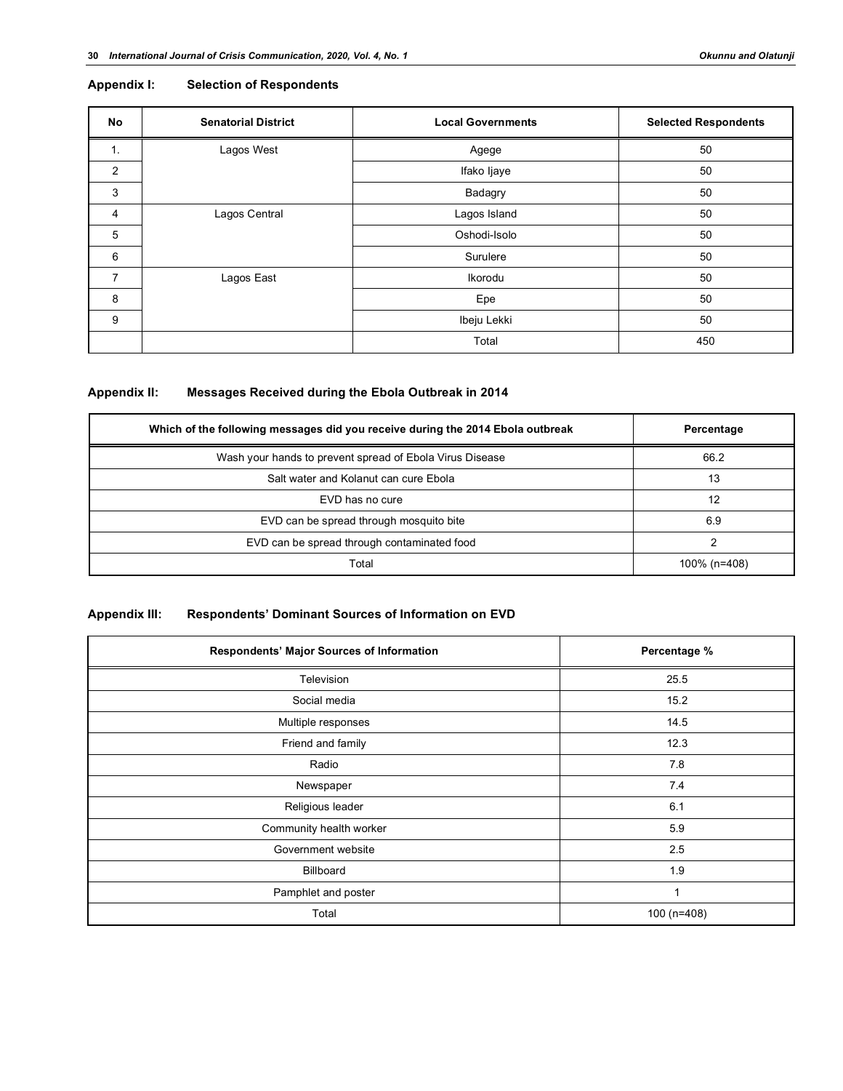#### **Appendix I: Selection of Respondents**

| No             | <b>Senatorial District</b> | <b>Local Governments</b> | <b>Selected Respondents</b> |
|----------------|----------------------------|--------------------------|-----------------------------|
| 1.             | Lagos West                 | Agege                    | 50                          |
| 2              |                            | Ifako Ijaye              | 50                          |
| 3              |                            | Badagry                  | 50                          |
| 4              | Lagos Central              | Lagos Island             | 50                          |
| 5              |                            | Oshodi-Isolo             | 50                          |
| 6              |                            | Surulere                 | 50                          |
| $\overline{7}$ | Lagos East                 | Ikorodu                  | 50                          |
| 8              |                            | Epe                      | 50                          |
| 9              |                            | Ibeju Lekki              | 50                          |
|                |                            | Total                    | 450                         |

# **Appendix II: Messages Received during the Ebola Outbreak in 2014**

| Which of the following messages did you receive during the 2014 Ebola outbreak | Percentage   |  |  |
|--------------------------------------------------------------------------------|--------------|--|--|
| Wash your hands to prevent spread of Ebola Virus Disease                       | 66.2         |  |  |
| Salt water and Kolanut can cure Ebola                                          | 13           |  |  |
| EVD has no cure                                                                | 12           |  |  |
| EVD can be spread through mosquito bite                                        | 6.9          |  |  |
| EVD can be spread through contaminated food                                    | າ            |  |  |
| Total                                                                          | 100% (n=408) |  |  |

# **Appendix III: Respondents' Dominant Sources of Information on EVD**

| Respondents' Major Sources of Information | Percentage % |  |  |
|-------------------------------------------|--------------|--|--|
| Television                                | 25.5         |  |  |
| Social media                              | 15.2         |  |  |
| Multiple responses                        | 14.5         |  |  |
| Friend and family                         | 12.3         |  |  |
| Radio                                     | 7.8          |  |  |
| Newspaper                                 | 7.4          |  |  |
| Religious leader                          | 6.1          |  |  |
| Community health worker                   | 5.9          |  |  |
| Government website                        | 2.5          |  |  |
| Billboard                                 | 1.9          |  |  |
| Pamphlet and poster                       | 1            |  |  |
| Total                                     | 100 (n=408)  |  |  |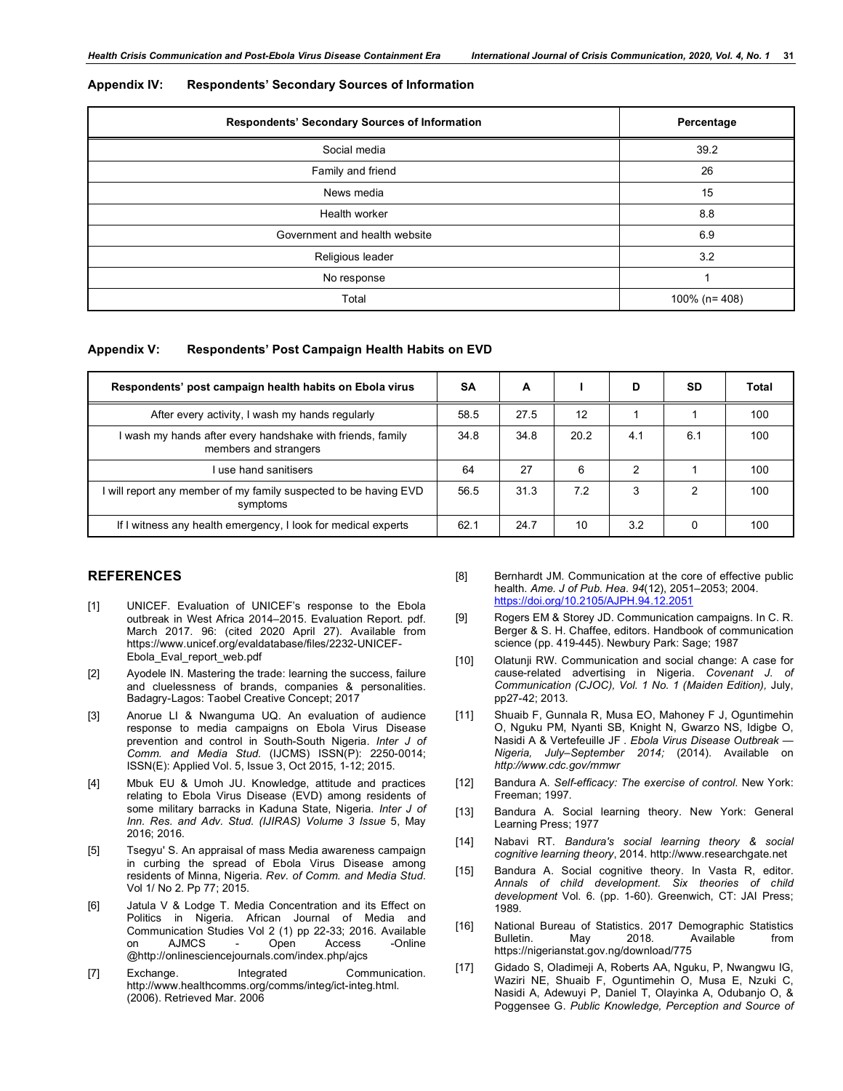|  | <b>Appendix IV:</b> | <b>Respondents' Secondary Sources of Information</b> |
|--|---------------------|------------------------------------------------------|
|--|---------------------|------------------------------------------------------|

| Respondents' Secondary Sources of Information | Percentage         |  |  |
|-----------------------------------------------|--------------------|--|--|
| Social media                                  | 39.2               |  |  |
| Family and friend                             | 26                 |  |  |
| News media                                    | 15                 |  |  |
| Health worker                                 | 8.8                |  |  |
| Government and health website                 | 6.9                |  |  |
| Religious leader                              | 3.2                |  |  |
| No response                                   |                    |  |  |
| Total                                         | 100% ( $n = 408$ ) |  |  |

#### **Appendix V: Respondents' Post Campaign Health Habits on EVD**

| Respondents' post campaign health habits on Ebola virus                           | SΑ   | A    |      | D   | SD  | Total |
|-----------------------------------------------------------------------------------|------|------|------|-----|-----|-------|
| After every activity, I wash my hands regularly                                   | 58.5 | 27.5 | 12   |     |     | 100   |
| wash my hands after every handshake with friends, family<br>members and strangers | 34.8 | 34.8 | 20.2 | 4.1 | 6.1 | 100   |
| use hand sanitisers                                                               | 64   | 27   | 6    | າ   |     | 100   |
| I will report any member of my family suspected to be having EVD<br>symptoms      | 56.5 | 31.3 | 7.2  | 3   | ົ   | 100   |
| If I witness any health emergency, I look for medical experts                     | 62.1 | 24.7 | 10   | 3.2 | 0   | 100   |

#### **REFERENCES**

- [1] UNICEF. Evaluation of UNICEF's response to the Ebola outbreak in West Africa 2014–2015. Evaluation Report. pdf. March 2017. 96: (cited 2020 April 27). Available from https://www.unicef.org/evaldatabase/files/2232-UNICEF-Ebola\_Eval\_report\_web.pdf
- [2] Ayodele IN. Mastering the trade: learning the success, failure and cluelessness of brands, companies & personalities. Badagry-Lagos: Taobel Creative Concept; 2017
- [3] Anorue LI & Nwanguma UQ. An evaluation of audience response to media campaigns on Ebola Virus Disease prevention and control in South-South Nigeria. *Inter J of Comm. and Media Stud.* (IJCMS) ISSN(P): 2250-0014; ISSN(E): Applied Vol. 5, Issue 3, Oct 2015, 1-12; 2015.
- [4] Mbuk EU & Umoh JU. Knowledge, attitude and practices relating to Ebola Virus Disease (EVD) among residents of some military barracks in Kaduna State, Nigeria. *Inter J of Inn. Res. and Adv. Stud. (IJIRAS) Volume 3 Issue* 5, May 2016; 2016.
- [5] Tsegyu' S. An appraisal of mass Media awareness campaign in curbing the spread of Ebola Virus Disease among residents of Minna, Nigeria. *Rev. of Comm. and Media Stud*. Vol 1/ No 2. Pp 77; 2015.
- [6] Jatula V & Lodge T. Media Concentration and its Effect on Politics in Nigeria. African Journal of Media and Communication Studies Vol 2 (1) pp 22-33; 2016. Available on AJMCS - Open Access -Online @http://onlinesciencejournals.com/index.php/ajcs
- [7] Exchange. Integrated Communication. http://www.healthcomms.org/comms/integ/ict-integ.html. (2006). Retrieved Mar. 2006
- [8] Bernhardt JM. Communication at the core of effective public health. *Ame. J of Pub. Hea. 94*(12), 2051–2053; 2004. https://doi.org/10.2105/AJPH.94.12.2051
- [9] Rogers EM & Storey JD. Communication campaigns. In C. R. Berger & S. H. Chaffee, editors. Handbook of communication science (pp. 419-445). Newbury Park: Sage; 1987
- [10] Olatunji RW. Communication and social *c*hange: A *c*ase for *c*ause-related advertising in Nigeria. *Covenant J. of Communication (CJOC), Vol. 1 No. 1 (Maiden Edition),* July, pp27-42; 2013.
- [11] Shuaib F, Gunnala R, Musa EO, Mahoney F J, Oguntimehin O, Nguku PM, Nyanti SB, Knight N, Gwarzo NS, Idigbe O, Nasidi A & Vertefeuille JF . *Ebola Virus Disease Outbreak — Nigeria, July–September 2014;* (2014). Available on *http://www.cdc.gov/mmwr*
- [12] Bandura A. *Self-efficacy: The exercise of control*. New York: Freeman; 1997.
- [13] Bandura A. Social learning theory. New York: General Learning Press; 1977
- [14] Nabavi RT. *Bandura's social learning theory & social cognitive learning theory*, 2014. http://www.researchgate.net
- [15] Bandura A. Social cognitive theory. In Vasta R, editor. *Annals of child development. Six theories of child development* Vol. 6. (pp. 1-60). Greenwich, CT: JAI Press; 1989.
- [16] National Bureau of Statistics. 2017 Demographic Statistics Bulletin. May 2018. Available from https://nigerianstat.gov.ng/download/775
- [17] Gidado S, Oladimeji A, Roberts AA, Nguku, P, Nwangwu IG, Waziri NE, Shuaib F, Oguntimehin O, Musa E, Nzuki C, Nasidi A, Adewuyi P, Daniel T, Olayinka A, Odubanjo O, & Poggensee G. *Public Knowledge, Perception and Source of*